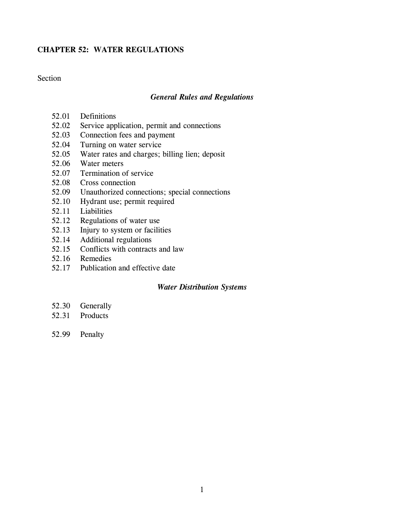# **CHAPTER 52: WATER REGULATIONS**

# Section

## *General Rules and Regulations*

- 52.01 Definitions
- 52.02 Service application, permit and connections
- 52.03 Connection fees and payment
- 52.04 Turning on water service
- 52.05 Water rates and charges; billing lien; deposit
- 52.06 Water meters
- 52.07 Termination of service
- 52.08 Cross connection
- 52.09 Unauthorized connections; special connections
- 52.10 Hydrant use; permit required
- 52.11 Liabilities
- 52.12 Regulations of water use
- 52.13 Injury to system or facilities
- 52.14 Additional regulations
- 52.15 Conflicts with contracts and law
- 52.16 Remedies
- 52.17 Publication and effective date

## *Water Distribution Systems*

- 52.30 Generally
- 52.31 Products
- 52.99 Penalty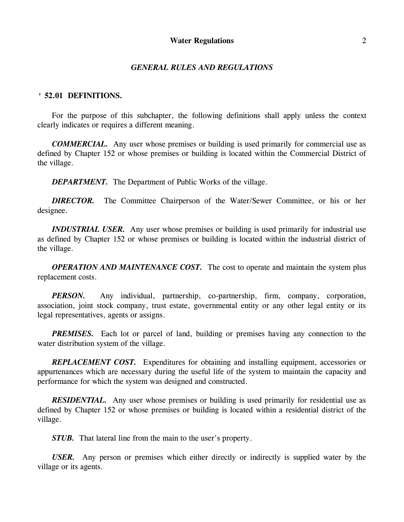#### *GENERAL RULES AND REGULATIONS*

#### **' 52.01 DEFINITIONS.**

For the purpose of this subchapter, the following definitions shall apply unless the context clearly indicates or requires a different meaning.

*COMMERCIAL.* Any user whose premises or building is used primarily for commercial use as defined by Chapter 152 or whose premises or building is located within the Commercial District of the village.

*DEPARTMENT.* The Department of Public Works of the village.

*DIRECTOR.* The Committee Chairperson of the Water/Sewer Committee, or his or her designee.

*INDUSTRIAL USER.* Any user whose premises or building is used primarily for industrial use as defined by Chapter 152 or whose premises or building is located within the industrial district of the village.

*OPERATION AND MAINTENANCE COST.* The cost to operate and maintain the system plus replacement costs.

*PERSON.* Any individual, partnership, co-partnership, firm, company, corporation, association, joint stock company, trust estate, governmental entity or any other legal entity or its legal representatives, agents or assigns.

*PREMISES.* Each lot or parcel of land, building or premises having any connection to the water distribution system of the village.

*REPLACEMENT COST.* Expenditures for obtaining and installing equipment, accessories or appurtenances which are necessary during the useful life of the system to maintain the capacity and performance for which the system was designed and constructed.

*RESIDENTIAL.* Any user whose premises or building is used primarily for residential use as defined by Chapter 152 or whose premises or building is located within a residential district of the village.

*STUB.* That lateral line from the main to the user's property.

*USER.* Any person or premises which either directly or indirectly is supplied water by the village or its agents.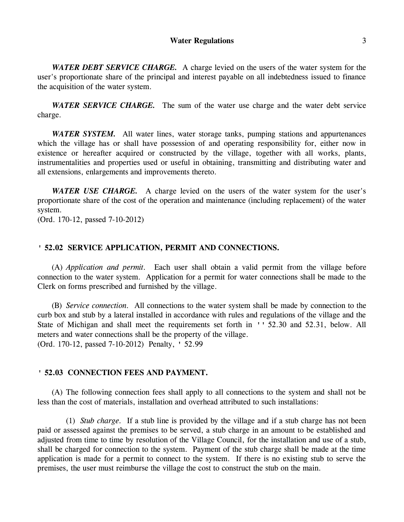*WATER DEBT SERVICE CHARGE.* A charge levied on the users of the water system for the user's proportionate share of the principal and interest payable on all indebtedness issued to finance the acquisition of the water system.

*WATER SERVICE CHARGE.* The sum of the water use charge and the water debt service charge.

*WATER SYSTEM.* All water lines, water storage tanks, pumping stations and appurtenances which the village has or shall have possession of and operating responsibility for, either now in existence or hereafter acquired or constructed by the village, together with all works, plants, instrumentalities and properties used or useful in obtaining, transmitting and distributing water and all extensions, enlargements and improvements thereto.

*WATER USE CHARGE.* A charge levied on the users of the water system for the user's proportionate share of the cost of the operation and maintenance (including replacement) of the water system.

(Ord. 170-12, passed 7-10-2012)

## **' 52.02 SERVICE APPLICATION, PERMIT AND CONNECTIONS.**

(A) *Application and permit.* Each user shall obtain a valid permit from the village before connection to the water system. Application for a permit for water connections shall be made to the Clerk on forms prescribed and furnished by the village.

(B) *Service connection.* All connections to the water system shall be made by connection to the curb box and stub by a lateral installed in accordance with rules and regulations of the village and the State of Michigan and shall meet the requirements set forth in '' 52.30 and 52.31, below. All meters and water connections shall be the property of the village. (Ord. 170-12, passed 7-10-2012) Penalty, ' 52.99

#### **' 52.03 CONNECTION FEES AND PAYMENT.**

(A) The following connection fees shall apply to all connections to the system and shall not be less than the cost of materials, installation and overhead attributed to such installations:

(1) *Stub charge.* If a stub line is provided by the village and if a stub charge has not been paid or assessed against the premises to be served, a stub charge in an amount to be established and adjusted from time to time by resolution of the Village Council, for the installation and use of a stub, shall be charged for connection to the system. Payment of the stub charge shall be made at the time application is made for a permit to connect to the system. If there is no existing stub to serve the premises, the user must reimburse the village the cost to construct the stub on the main.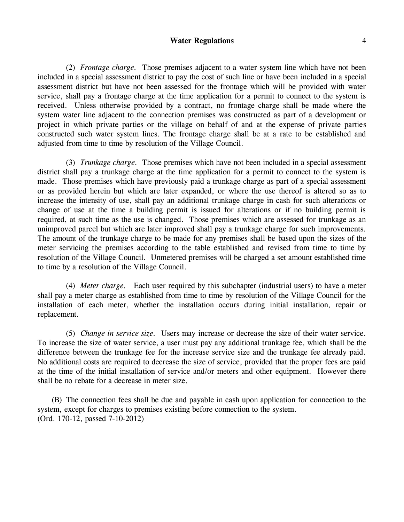(2) *Frontage charge.* Those premises adjacent to a water system line which have not been included in a special assessment district to pay the cost of such line or have been included in a special assessment district but have not been assessed for the frontage which will be provided with water service, shall pay a frontage charge at the time application for a permit to connect to the system is received. Unless otherwise provided by a contract, no frontage charge shall be made where the system water line adjacent to the connection premises was constructed as part of a development or project in which private parties or the village on behalf of and at the expense of private parties constructed such water system lines. The frontage charge shall be at a rate to be established and adjusted from time to time by resolution of the Village Council.

(3) *Trunkage charge.* Those premises which have not been included in a special assessment district shall pay a trunkage charge at the time application for a permit to connect to the system is made. Those premises which have previously paid a trunkage charge as part of a special assessment or as provided herein but which are later expanded, or where the use thereof is altered so as to increase the intensity of use, shall pay an additional trunkage charge in cash for such alterations or change of use at the time a building permit is issued for alterations or if no building permit is required, at such time as the use is changed. Those premises which are assessed for trunkage as an unimproved parcel but which are later improved shall pay a trunkage charge for such improvements. The amount of the trunkage charge to be made for any premises shall be based upon the sizes of the meter servicing the premises according to the table established and revised from time to time by resolution of the Village Council. Unmetered premises will be charged a set amount established time to time by a resolution of the Village Council.

(4) *Meter charge.* Each user required by this subchapter (industrial users) to have a meter shall pay a meter charge as established from time to time by resolution of the Village Council for the installation of each meter, whether the installation occurs during initial installation, repair or replacement.

(5) *Change in service size.* Users may increase or decrease the size of their water service. To increase the size of water service, a user must pay any additional trunkage fee, which shall be the difference between the trunkage fee for the increase service size and the trunkage fee already paid. No additional costs are required to decrease the size of service, provided that the proper fees are paid at the time of the initial installation of service and/or meters and other equipment. However there shall be no rebate for a decrease in meter size.

(B) The connection fees shall be due and payable in cash upon application for connection to the system, except for charges to premises existing before connection to the system. (Ord. 170-12, passed 7-10-2012)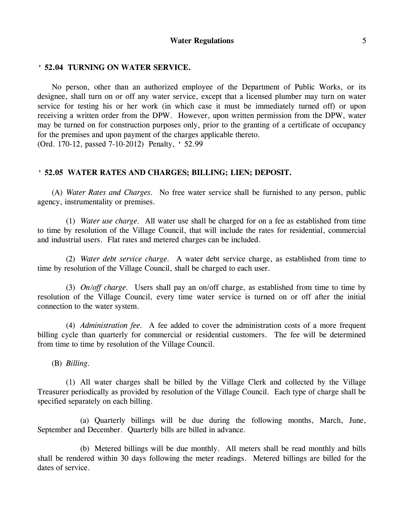### **' 52.04 TURNING ON WATER SERVICE.**

No person, other than an authorized employee of the Department of Public Works, or its designee, shall turn on or off any water service, except that a licensed plumber may turn on water service for testing his or her work (in which case it must be immediately turned off) or upon receiving a written order from the DPW. However, upon written permission from the DPW, water may be turned on for construction purposes only, prior to the granting of a certificate of occupancy for the premises and upon payment of the charges applicable thereto. (Ord. 170-12, passed 7-10-2012) Penalty, ' 52.99

## **' 52.05 WATER RATES AND CHARGES; BILLING; LIEN; DEPOSIT.**

(A) *Water Rates and Charges.* No free water service shall be furnished to any person, public agency, instrumentality or premises.

(1) *Water use charge.* All water use shall be charged for on a fee as established from time to time by resolution of the Village Council, that will include the rates for residential, commercial and industrial users. Flat rates and metered charges can be included.

(2) *Water debt service charge.* A water debt service charge, as established from time to time by resolution of the Village Council, shall be charged to each user.

(3) *On/off charge.* Users shall pay an on/off charge, as established from time to time by resolution of the Village Council, every time water service is turned on or off after the initial connection to the water system.

(4) *Administration fee.* A fee added to cover the administration costs of a more frequent billing cycle than quarterly for commercial or residential customers. The fee will be determined from time to time by resolution of the Village Council.

(B) *Billing.*

(1) All water charges shall be billed by the Village Clerk and collected by the Village Treasurer periodically as provided by resolution of the Village Council. Each type of charge shall be specified separately on each billing.

(a) Quarterly billings will be due during the following months, March, June, September and December. Quarterly bills are billed in advance.

(b) Metered billings will be due monthly. All meters shall be read monthly and bills shall be rendered within 30 days following the meter readings. Metered billings are billed for the dates of service.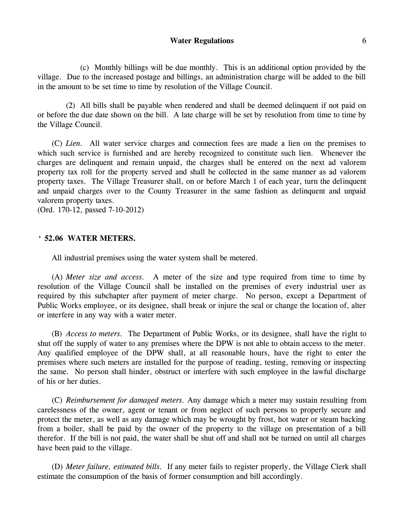(c) Monthly billings will be due monthly. This is an additional option provided by the village. Due to the increased postage and billings, an administration charge will be added to the bill in the amount to be set time to time by resolution of the Village Council.

(2) All bills shall be payable when rendered and shall be deemed delinquent if not paid on or before the due date shown on the bill. A late charge will be set by resolution from time to time by the Village Council.

(C) *Lien.* All water service charges and connection fees are made a lien on the premises to which such service is furnished and are hereby recognized to constitute such lien. Whenever the charges are delinquent and remain unpaid, the charges shall be entered on the next ad valorem property tax roll for the property served and shall be collected in the same manner as ad valorem property taxes. The Village Treasurer shall, on or before March 1 of each year, turn the delinquent and unpaid charges over to the County Treasurer in the same fashion as delinquent and unpaid valorem property taxes.

(Ord. 170-12, passed 7-10-2012)

#### **' 52.06 WATER METERS.**

All industrial premises using the water system shall be metered.

(A) *Meter size and access.* A meter of the size and type required from time to time by resolution of the Village Council shall be installed on the premises of every industrial user as required by this subchapter after payment of meter charge. No person, except a Department of Public Works employee, or its designee, shall break or injure the seal or change the location of, alter or interfere in any way with a water meter.

(B) *Access to meters.* The Department of Public Works, or its designee, shall have the right to shut off the supply of water to any premises where the DPW is not able to obtain access to the meter. Any qualified employee of the DPW shall, at all reasonable hours, have the right to enter the premises where such meters are installed for the purpose of reading, testing, removing or inspecting the same. No person shall hinder, obstruct or interfere with such employee in the lawful discharge of his or her duties.

(C) *Reimbursement for damaged meters.* Any damage which a meter may sustain resulting from carelessness of the owner, agent or tenant or from neglect of such persons to properly secure and protect the meter, as well as any damage which may be wrought by frost, hot water or steam backing from a boiler, shall be paid by the owner of the property to the village on presentation of a bill therefor. If the bill is not paid, the water shall be shut off and shall not be turned on until all charges have been paid to the village.

(D) *Meter failure, estimated bills.* If any meter fails to register properly, the Village Clerk shall estimate the consumption of the basis of former consumption and bill accordingly.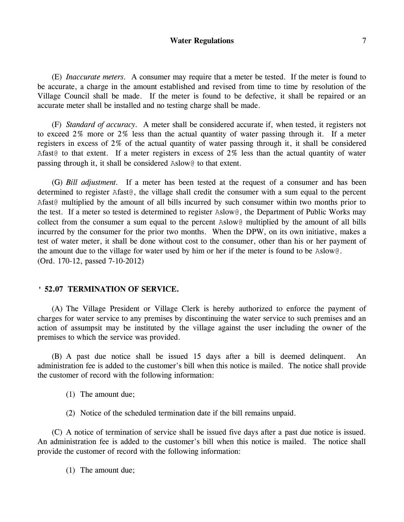(E) *Inaccurate meters.* A consumer may require that a meter be tested. If the meter is found to be accurate, a charge in the amount established and revised from time to time by resolution of the Village Council shall be made. If the meter is found to be defective, it shall be repaired or an accurate meter shall be installed and no testing charge shall be made.

(F) *Standard of accuracy.* A meter shall be considered accurate if, when tested, it registers not to exceed 2% more or 2% less than the actual quantity of water passing through it. If a meter registers in excess of 2% of the actual quantity of water passing through it, it shall be considered Afast@ to that extent. If a meter registers in excess of 2% less than the actual quantity of water passing through it, it shall be considered Aslow@ to that extent.

(G) *Bill adjustment.* If a meter has been tested at the request of a consumer and has been determined to register Afast@, the village shall credit the consumer with a sum equal to the percent Afast@ multiplied by the amount of all bills incurred by such consumer within two months prior to the test. If a meter so tested is determined to register Aslow@, the Department of Public Works may collect from the consumer a sum equal to the percent Aslow@ multiplied by the amount of all bills incurred by the consumer for the prior two months. When the DPW, on its own initiative, makes a test of water meter, it shall be done without cost to the consumer, other than his or her payment of the amount due to the village for water used by him or her if the meter is found to be Aslow@. (Ord. 170-12, passed 7-10-2012)

### **' 52.07 TERMINATION OF SERVICE.**

(A) The Village President or Village Clerk is hereby authorized to enforce the payment of charges for water service to any premises by discontinuing the water service to such premises and an action of assumpsit may be instituted by the village against the user including the owner of the premises to which the service was provided.

(B) A past due notice shall be issued 15 days after a bill is deemed delinquent. An administration fee is added to the customer's bill when this notice is mailed. The notice shall provide the customer of record with the following information:

- (1) The amount due;
- (2) Notice of the scheduled termination date if the bill remains unpaid.

(C) A notice of termination of service shall be issued five days after a past due notice is issued. An administration fee is added to the customer's bill when this notice is mailed. The notice shall provide the customer of record with the following information:

(1) The amount due;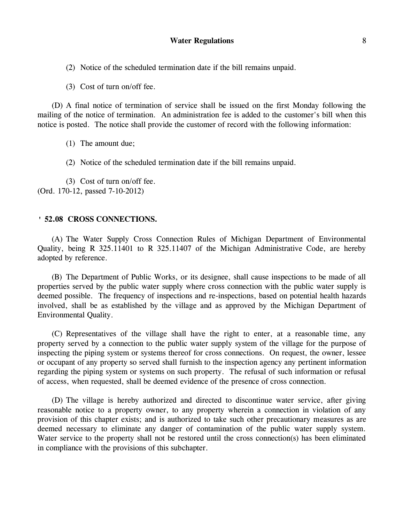(2) Notice of the scheduled termination date if the bill remains unpaid.

(3) Cost of turn on/off fee.

(D) A final notice of termination of service shall be issued on the first Monday following the mailing of the notice of termination. An administration fee is added to the customer's bill when this notice is posted. The notice shall provide the customer of record with the following information:

(1) The amount due;

(2) Notice of the scheduled termination date if the bill remains unpaid.

(3) Cost of turn on/off fee. (Ord. 170-12, passed 7-10-2012)

### **' 52.08 CROSS CONNECTIONS.**

(A) The Water Supply Cross Connection Rules of Michigan Department of Environmental Quality, being R 325.11401 to R 325.11407 of the Michigan Administrative Code, are hereby adopted by reference.

(B) The Department of Public Works, or its designee, shall cause inspections to be made of all properties served by the public water supply where cross connection with the public water supply is deemed possible. The frequency of inspections and re-inspections, based on potential health hazards involved, shall be as established by the village and as approved by the Michigan Department of Environmental Quality.

(C) Representatives of the village shall have the right to enter, at a reasonable time, any property served by a connection to the public water supply system of the village for the purpose of inspecting the piping system or systems thereof for cross connections. On request, the owner, lessee or occupant of any property so served shall furnish to the inspection agency any pertinent information regarding the piping system or systems on such property. The refusal of such information or refusal of access, when requested, shall be deemed evidence of the presence of cross connection.

(D) The village is hereby authorized and directed to discontinue water service, after giving reasonable notice to a property owner, to any property wherein a connection in violation of any provision of this chapter exists; and is authorized to take such other precautionary measures as are deemed necessary to eliminate any danger of contamination of the public water supply system. Water service to the property shall not be restored until the cross connection(s) has been eliminated in compliance with the provisions of this subchapter.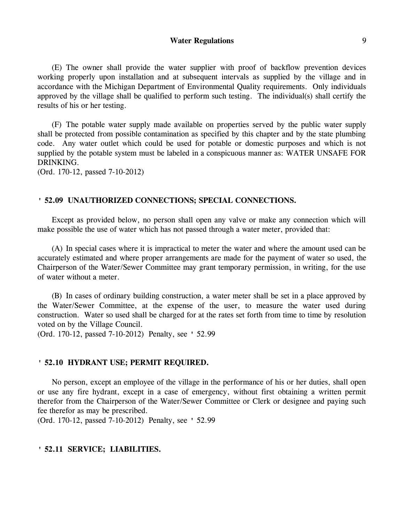(E) The owner shall provide the water supplier with proof of backflow prevention devices working properly upon installation and at subsequent intervals as supplied by the village and in accordance with the Michigan Department of Environmental Quality requirements. Only individuals approved by the village shall be qualified to perform such testing. The individual(s) shall certify the results of his or her testing.

(F) The potable water supply made available on properties served by the public water supply shall be protected from possible contamination as specified by this chapter and by the state plumbing code. Any water outlet which could be used for potable or domestic purposes and which is not supplied by the potable system must be labeled in a conspicuous manner as: WATER UNSAFE FOR DRINKING.

(Ord. 170-12, passed 7-10-2012)

#### **' 52.09 UNAUTHORIZED CONNECTIONS; SPECIAL CONNECTIONS.**

Except as provided below, no person shall open any valve or make any connection which will make possible the use of water which has not passed through a water meter, provided that:

(A) In special cases where it is impractical to meter the water and where the amount used can be accurately estimated and where proper arrangements are made for the payment of water so used, the Chairperson of the Water/Sewer Committee may grant temporary permission, in writing, for the use of water without a meter.

(B) In cases of ordinary building construction, a water meter shall be set in a place approved by the Water/Sewer Committee, at the expense of the user, to measure the water used during construction. Water so used shall be charged for at the rates set forth from time to time by resolution voted on by the Village Council.

(Ord. 170-12, passed 7-10-2012) Penalty, see ' 52.99

### **' 52.10 HYDRANT USE; PERMIT REQUIRED.**

No person, except an employee of the village in the performance of his or her duties, shall open or use any fire hydrant, except in a case of emergency, without first obtaining a written permit therefor from the Chairperson of the Water/Sewer Committee or Clerk or designee and paying such fee therefor as may be prescribed.

(Ord. 170-12, passed 7-10-2012) Penalty, see ' 52.99

## **' 52.11 SERVICE; LIABILITIES.**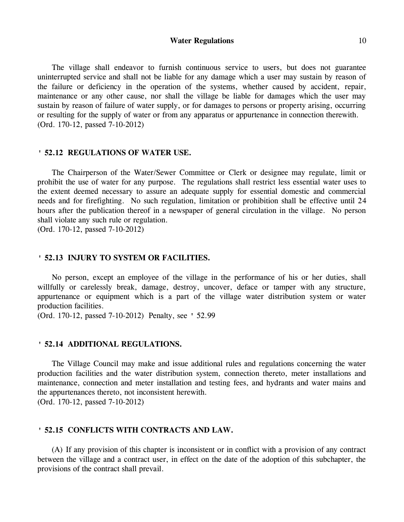The village shall endeavor to furnish continuous service to users, but does not guarantee uninterrupted service and shall not be liable for any damage which a user may sustain by reason of the failure or deficiency in the operation of the systems, whether caused by accident, repair, maintenance or any other cause, nor shall the village be liable for damages which the user may sustain by reason of failure of water supply, or for damages to persons or property arising, occurring or resulting for the supply of water or from any apparatus or appurtenance in connection therewith. (Ord. 170-12, passed 7-10-2012)

#### **' 52.12 REGULATIONS OF WATER USE.**

The Chairperson of the Water/Sewer Committee or Clerk or designee may regulate, limit or prohibit the use of water for any purpose. The regulations shall restrict less essential water uses to the extent deemed necessary to assure an adequate supply for essential domestic and commercial needs and for firefighting. No such regulation, limitation or prohibition shall be effective until 24 hours after the publication thereof in a newspaper of general circulation in the village. No person shall violate any such rule or regulation.

(Ord. 170-12, passed 7-10-2012)

## **' 52.13 INJURY TO SYSTEM OR FACILITIES.**

No person, except an employee of the village in the performance of his or her duties, shall willfully or carelessly break, damage, destroy, uncover, deface or tamper with any structure, appurtenance or equipment which is a part of the village water distribution system or water production facilities.

(Ord. 170-12, passed 7-10-2012) Penalty, see ' 52.99

#### **' 52.14 ADDITIONAL REGULATIONS.**

The Village Council may make and issue additional rules and regulations concerning the water production facilities and the water distribution system, connection thereto, meter installations and maintenance, connection and meter installation and testing fees, and hydrants and water mains and the appurtenances thereto, not inconsistent herewith. (Ord. 170-12, passed 7-10-2012)

#### **' 52.15 CONFLICTS WITH CONTRACTS AND LAW.**

(A) If any provision of this chapter is inconsistent or in conflict with a provision of any contract between the village and a contract user, in effect on the date of the adoption of this subchapter, the provisions of the contract shall prevail.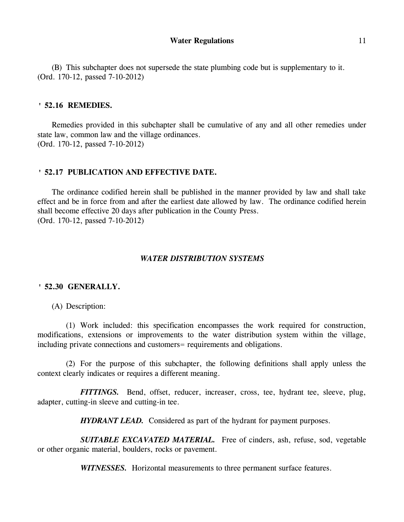(B) This subchapter does not supersede the state plumbing code but is supplementary to it. (Ord. 170-12, passed 7-10-2012)

#### **' 52.16 REMEDIES.**

Remedies provided in this subchapter shall be cumulative of any and all other remedies under state law, common law and the village ordinances. (Ord. 170-12, passed 7-10-2012)

### **' 52.17 PUBLICATION AND EFFECTIVE DATE.**

The ordinance codified herein shall be published in the manner provided by law and shall take effect and be in force from and after the earliest date allowed by law. The ordinance codified herein shall become effective 20 days after publication in the County Press. (Ord. 170-12, passed 7-10-2012)

## *WATER DISTRIBUTION SYSTEMS*

### **' 52.30 GENERALLY.**

(A) Description:

(1) Work included: this specification encompasses the work required for construction, modifications, extensions or improvements to the water distribution system within the village, including private connections and customers= requirements and obligations.

(2) For the purpose of this subchapter, the following definitions shall apply unless the context clearly indicates or requires a different meaning.

*FITTINGS*. Bend, offset, reducer, increaser, cross, tee, hydrant tee, sleeve, plug, adapter, cutting-in sleeve and cutting-in tee.

*HYDRANT LEAD.* Considered as part of the hydrant for payment purposes.

*SUITABLE EXCAVATED MATERIAL.* Free of cinders, ash, refuse, sod, vegetable or other organic material, boulders, rocks or pavement.

*WITNESSES.* Horizontal measurements to three permanent surface features.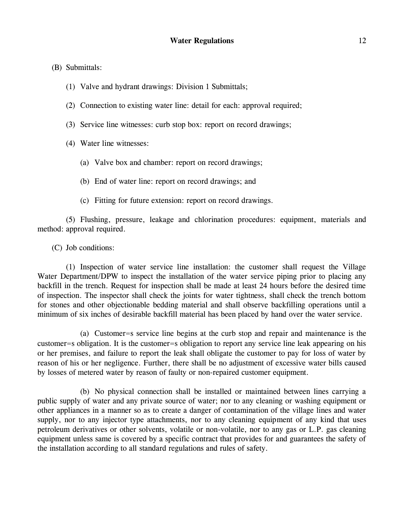(B) Submittals:

- (1) Valve and hydrant drawings: Division 1 Submittals;
- (2) Connection to existing water line: detail for each: approval required;
- (3) Service line witnesses: curb stop box: report on record drawings;
- (4) Water line witnesses:
	- (a) Valve box and chamber: report on record drawings;
	- (b) End of water line: report on record drawings; and
	- (c) Fitting for future extension: report on record drawings.

(5) Flushing, pressure, leakage and chlorination procedures: equipment, materials and method: approval required.

(C) Job conditions:

(1) Inspection of water service line installation: the customer shall request the Village Water Department/DPW to inspect the installation of the water service piping prior to placing any backfill in the trench. Request for inspection shall be made at least 24 hours before the desired time of inspection. The inspector shall check the joints for water tightness, shall check the trench bottom for stones and other objectionable bedding material and shall observe backfilling operations until a minimum of six inches of desirable backfill material has been placed by hand over the water service.

(a) Customer=s service line begins at the curb stop and repair and maintenance is the customer=s obligation. It is the customer=s obligation to report any service line leak appearing on his or her premises, and failure to report the leak shall obligate the customer to pay for loss of water by reason of his or her negligence. Further, there shall be no adjustment of excessive water bills caused by losses of metered water by reason of faulty or non-repaired customer equipment.

(b) No physical connection shall be installed or maintained between lines carrying a public supply of water and any private source of water; nor to any cleaning or washing equipment or other appliances in a manner so as to create a danger of contamination of the village lines and water supply, nor to any injector type attachments, nor to any cleaning equipment of any kind that uses petroleum derivatives or other solvents, volatile or non-volatile, nor to any gas or L.P. gas cleaning equipment unless same is covered by a specific contract that provides for and guarantees the safety of the installation according to all standard regulations and rules of safety.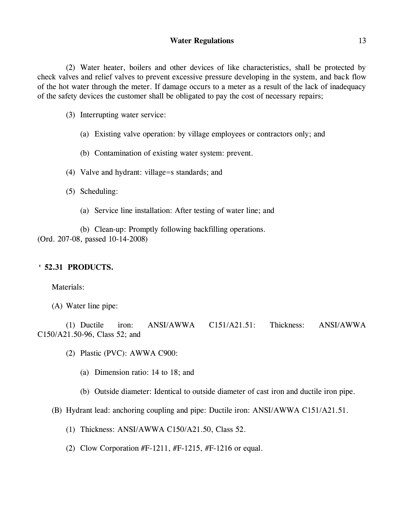(2) Water heater, boilers and other devices of like characteristics, shall be protected by check valves and relief valves to prevent excessive pressure developing in the system, and back flow of the hot water through the meter. If damage occurs to a meter as a result of the lack of inadequacy of the safety devices the customer shall be obligated to pay the cost of necessary repairs;

(3) Interrupting water service:

- (a) Existing valve operation: by village employees or contractors only; and
- (b) Contamination of existing water system: prevent.
- (4) Valve and hydrant: village=s standards; and
- (5) Scheduling:
	- (a) Service line installation: After testing of water line; and

(b) Clean-up: Promptly following backfilling operations. (Ord. 207-08, passed 10-14-2008)

## **' 52.31 PRODUCTS.**

Materials:

(1) Ductile iron: ANSI/AWWA C151/A21.51: Thickness: ANSI/AWWA C150/A21.50-96, Class 52; and

- (2) Plastic (PVC): AWWA C900:
	- (a) Dimension ratio: 14 to 18; and
	- (b) Outside diameter: Identical to outside diameter of cast iron and ductile iron pipe.
- (B) Hydrant lead: anchoring coupling and pipe: Ductile iron: ANSI/AWWA C151/A21.51.
	- (1) Thickness: ANSI/AWWA C150/A21.50, Class 52.
	- (2) Clow Corporation  $#F-1211$ ,  $#F-1215$ ,  $#F-1216$  or equal.

<sup>(</sup>A) Water line pipe: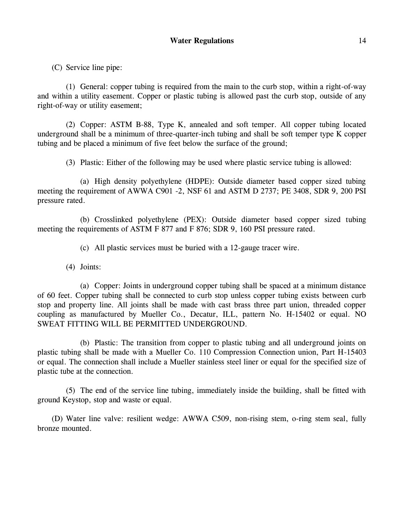(C) Service line pipe:

(1) General: copper tubing is required from the main to the curb stop, within a right-of-way and within a utility easement. Copper or plastic tubing is allowed past the curb stop, outside of any right-of-way or utility easement;

(2) Copper: ASTM B-88, Type K, annealed and soft temper. All copper tubing located underground shall be a minimum of three-quarter-inch tubing and shall be soft temper type K copper tubing and be placed a minimum of five feet below the surface of the ground;

(3) Plastic: Either of the following may be used where plastic service tubing is allowed:

(a) High density polyethylene (HDPE): Outside diameter based copper sized tubing meeting the requirement of AWWA C901 -2, NSF 61 and ASTM D 2737; PE 3408, SDR 9, 200 PSI pressure rated.

(b) Crosslinked polyethylene (PEX): Outside diameter based copper sized tubing meeting the requirements of ASTM F 877 and F 876; SDR 9, 160 PSI pressure rated.

(c) All plastic services must be buried with a 12-gauge tracer wire.

(4) Joints:

(a) Copper: Joints in underground copper tubing shall be spaced at a minimum distance of 60 feet. Copper tubing shall be connected to curb stop unless copper tubing exists between curb stop and property line. All joints shall be made with cast brass three part union, threaded copper coupling as manufactured by Mueller Co., Decatur, ILL, pattern No. H-15402 or equal. NO SWEAT FITTING WILL BE PERMITTED UNDERGROUND.

(b) Plastic: The transition from copper to plastic tubing and all underground joints on plastic tubing shall be made with a Mueller Co. 110 Compression Connection union, Part H-15403 or equal. The connection shall include a Mueller stainless steel liner or equal for the specified size of plastic tube at the connection.

(5) The end of the service line tubing, immediately inside the building, shall be fitted with ground Keystop, stop and waste or equal.

(D) Water line valve: resilient wedge: AWWA C509, non-rising stem, o-ring stem seal, fully bronze mounted.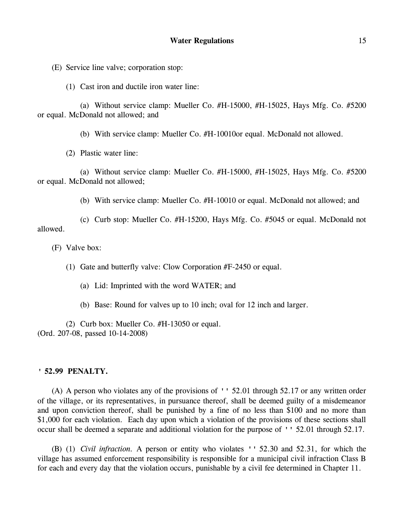(E) Service line valve; corporation stop:

(1) Cast iron and ductile iron water line:

(a) Without service clamp: Mueller Co. #H-15000, #H-15025, Hays Mfg. Co. #5200 or equal. McDonald not allowed; and

(b) With service clamp: Mueller Co. #H-10010or equal. McDonald not allowed.

(2) Plastic water line:

(a) Without service clamp: Mueller Co. #H-15000, #H-15025, Hays Mfg. Co. #5200 or equal. McDonald not allowed;

(b) With service clamp: Mueller Co. #H-10010 or equal. McDonald not allowed; and

(c) Curb stop: Mueller Co. #H-15200, Hays Mfg. Co. #5045 or equal. McDonald not allowed.

(F) Valve box:

(1) Gate and butterfly valve: Clow Corporation #F-2450 or equal.

- (a) Lid: Imprinted with the word WATER; and
- (b) Base: Round for valves up to 10 inch; oval for 12 inch and larger.

(2) Curb box: Mueller Co. #H-13050 or equal. (Ord. 207-08, passed 10-14-2008)

#### **' 52.99 PENALTY.**

(A) A person who violates any of the provisions of '' 52.01 through 52.17 or any written order of the village, or its representatives, in pursuance thereof, shall be deemed guilty of a misdemeanor and upon conviction thereof, shall be punished by a fine of no less than \$100 and no more than \$1,000 for each violation. Each day upon which a violation of the provisions of these sections shall occur shall be deemed a separate and additional violation for the purpose of '' 52.01 through 52.17.

(B) (1) *Civil infraction.* A person or entity who violates '' 52.30 and 52.31, for which the village has assumed enforcement responsibility is responsible for a municipal civil infraction Class B for each and every day that the violation occurs, punishable by a civil fee determined in Chapter 11.